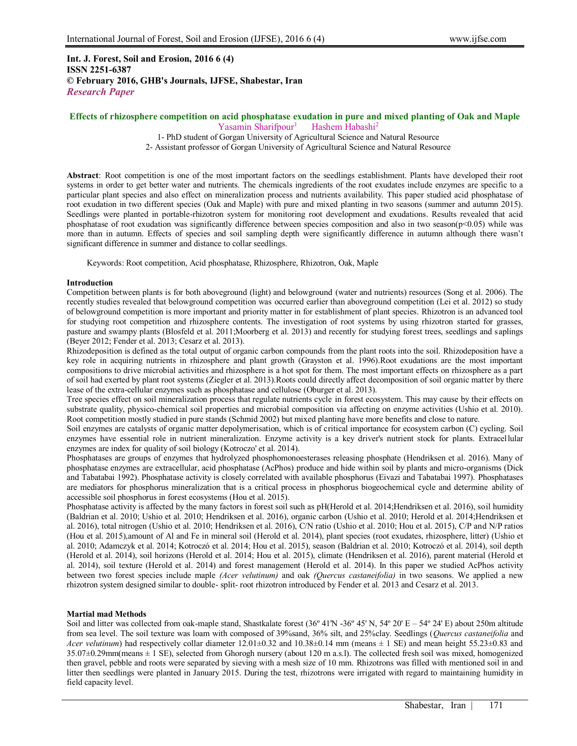# **Int. J. Forest, Soil and Erosion, 2016 6 (4) ISSN 2251-6387 © February 2016, GHB's Journals, IJFSE, Shabestar, Iran** *Research Paper*

#### **Effects of rhizosphere competition on acid phosphatase exudation in pure and mixed planting of Oak and Maple** Yasamin Sharifpour<sup>1</sup> Hashem Habashi<sup>2</sup>

1- PhD student of Gorgan University of Agricultural Science and Natural Resource

2- Assistant professor of Gorgan University of Agricultural Science and Natural Resource

**Abstract**: Root competition is one of the most important factors on the seedlings establishment. Plants have developed their root systems in order to get better water and nutrients. The chemicals ingredients of the root exudates include enzymes are specific to a particular plant species and also effect on mineralization process and nutrients availability. This paper studied acid phosphatase of root exudation in two different species (Oak and Maple) with pure and mixed planting in two seasons (summer and autumn 2015). Seedlings were planted in portable-rhizotron system for monitoring root development and exudations. Results revealed that acid phosphatase of root exudation was significantly difference between species composition and also in two season( $p<0.05$ ) while was more than in autumn. Effects of species and soil sampling depth were significantly difference in autumn although there wasn't significant difference in summer and distance to collar seedlings.

Keywords: Root competition, Acid phosphatase, Rhizosphere, Rhizotron, Oak, Maple

## **Introduction**

Competition between plants is for both aboveground (light) and belowground (water and nutrients) resources (Song et al. 2006). The recently studies revealed that belowground competition was occurred earlier than aboveground competition (Lei et al. 2012) so study of belowground competition is more important and priority matter in for establishment of plant species. Rhizotron is an advanced tool for studying root competition and rhizosphere contents. The investigation of root systems by using rhizotron started for grasses, pasture and swampy plants (Blosfeld et al. 2011;Moorberg et al. 2013) and recently for studying forest trees, seedlings and saplings (Beyer 2012; Fender et al. 2013; Cesarz et al. 2013).

Rhizodeposition is defined as the total output of organic carbon compounds from the plant roots into the soil. Rhizodeposition have a key role in acquiring nutrients in rhizosphere and plant growth (Grayston et al. 1996).Root exudations are the most important compositions to drive microbial activities and rhizosphere is a hot spot for them. The most important effects on rhizosphere as a part of soil had exerted by plant root systems (Ziegler et al. 2013).Roots could directly affect decomposition of soil organic matter by there lease of the extra-cellular enzymes such as phosphatase and cellulose (Oburger et al. 2013).

Tree species effect on soil mineralization process that regulate nutrients cycle in forest ecosystem. This may cause by their effects on substrate quality, physico-chemical soil properties and microbial composition via affecting on enzyme activities (Ushio et al. 2010). Root competition mostly studied in pure stands (Schmid 2002) but mixed planting have more benefits and close to nature.

Soil enzymes are catalysts of organic matter depolymerisation, which is of critical importance for ecosystem carbon (C) cycling. Soil enzymes have essential role in nutrient mineralization. Enzyme activity is a key driver's nutrient stock for plants. Extracellular enzymes are index for quality of soil biology (Kotroczo' et al. 2014).

Phosphatases are groups of enzymes that hydrolyzed phosphomonoesterases releasing phosphate (Hendriksen et al. 2016). Many of phosphatase enzymes are extracellular, acid phosphatase (AcPhos) produce and hide within soil by plants and micro-organisms (Dick and Tabatabai 1992). Phosphatase activity is closely correlated with available phosphorus (Eivazi and Tabatabai 1997). Phosphatases are mediators for phosphorus mineralization that is a critical process in phosphorus biogeochemical cycle and determine ability of accessible soil phosphorus in forest ecosystems (Hou et al. 2015).

Phosphatase activity is affected by the many factors in forest soil such as pH(Herold et al. 2014;Hendriksen et al. 2016), soil humidity (Baldrian et al. 2010; Ushio et al. 2010; Hendriksen et al. 2016), organic carbon (Ushio et al. 2010; Herold et al. 2014;Hendriksen et al. 2016), total nitrogen (Ushio et al. 2010; Hendriksen et al. 2016), C/N ratio (Ushio et al. 2010; Hou et al. 2015), C/P and N/P ratios (Hou et al. 2015),amount of Al and Fe in mineral soil (Herold et al. 2014), plant species (root exudates, rhizosphere, litter) (Ushio et al. 2010; Adamczyk et al. 2014; Kotroczó et al. 2014; Hou et al. 2015), season (Baldrian et al. 2010; Kotroczó et al. 2014), soil depth (Herold et al. 2014), soil horizons (Herold et al. 2014; Hou et al. 2015), climate (Hendriksen et al. 2016), parent material (Herold et al. 2014), soil texture (Herold et al. 2014) and forest management (Herold et al. 2014). In this paper we studied AcPhos activity between two forest species include maple *(Acer velutinum)* and oak *(Quercus castaneifolia)* in two seasons. We applied a new rhizotron system designed similar to double- split- root rhizotron introduced by Fender et al. 2013 and Cesarz et al. 2013.

# **Martial mad Methods**

Soil and litter was collected from oak-maple stand, Shastkalate forest  $(36^{\circ} 41^{\circ} N, 54^{\circ} 20^{\circ} E - 54^{\circ} 24^{\circ} E)$  about 250m altitude from sea level. The soil texture was loam with composed of 39%sand, 36% silt, and 25%clay. Seedlings (*Quercus castaneifolia* and *Acer velutinum*) had respectively collar diameter  $12.01 \pm 0.32$  and  $10.38 \pm 0.14$  mm (means  $\pm 1$  SE) and mean height 55.23 $\pm 0.83$  and  $35.07\pm0.29$ mm(means  $\pm$  1 SE), selected from Ghorogh nursery (about 120 m a.s.l). The collected fresh soil was mixed, homogenized then gravel, pebble and roots were separated by sieving with a mesh size of 10 mm. Rhizotrons was filled with mentioned soil in and litter then seedlings were planted in January 2015. During the test, rhizotrons were irrigated with regard to maintaining humidity in field capacity level.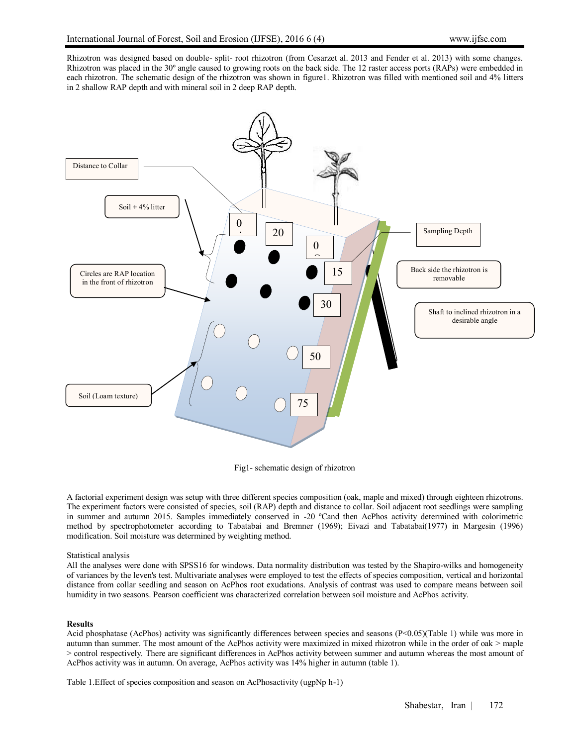Rhizotron was designed based on double- split- root rhizotron (from Cesarzet al. 2013 and Fender et al. 2013) with some changes. Rhizotron was placed in the 30º angle caused to growing roots on the back side. The 12 raster access ports (RAPs) were embedded in each rhizotron. The schematic design of the rhizotron was shown in figure1. Rhizotron was filled with mentioned soil and 4% litters in 2 shallow RAP depth and with mineral soil in 2 deep RAP depth.



Fig1- schematic design of rhizotron

A factorial experiment design was setup with three different species composition (oak, maple and mixed) through eighteen rhizotrons. The experiment factors were consisted of species, soil (RAP) depth and distance to collar. Soil adjacent root seedlings were sampling in summer and autumn 2015. Samples immediately conserved in -20 ºCand then AcPhos activity determined with colorimetric method by spectrophotometer according to Tabatabai and Bremner (1969); Eivazi and Tabatabai(1977) in Margesin (1996) modification. Soil moisture was determined by weighting method.

## Statistical analysis

All the analyses were done with SPSS16 for windows. Data normality distribution was tested by the Shapiro-wilks and homogeneity of variances by the leven's test. Multivariate analyses were employed to test the effects of species composition, vertical and horizontal distance from collar seedling and season on AcPhos root exudations. Analysis of contrast was used to compare means between soil humidity in two seasons. Pearson coefficient was characterized correlation between soil moisture and AcPhos activity.

# **Results**

Acid phosphatase (AcPhos) activity was significantly differences between species and seasons (P<0.05)(Table 1) while was more in autumn than summer. The most amount of the AcPhos activity were maximized in mixed rhizotron while in the order of oak > maple > control respectively. There are significant differences in AcPhos activity between summer and autumn whereas the most amount of AcPhos activity was in autumn. On average, AcPhos activity was 14% higher in autumn (table 1).

Table 1.Effect of species composition and season on AcPhosactivity (ugpNp h-1)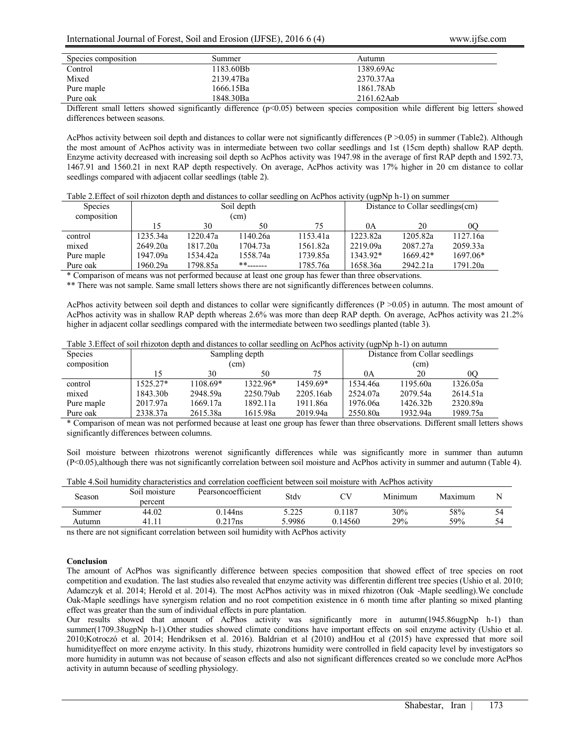## International Journal of Forest, Soil and Erosion (IJFSE), 2016 6 (4) www.ijfse.com

| Species composition | Summer    | Autumn     |  |
|---------------------|-----------|------------|--|
| Control             | 1183.60Bb | 1389.69Ac  |  |
| Mixed               | 2139.47Ba | 2370.37Aa  |  |
| Pure maple          | 1666.15Ba | 1861.78Ab  |  |
| Pure oak            | 1848.30Ba | 2161.62Aab |  |

Different small letters showed significantly difference (p<0.05) between species composition while different big letters showed differences between seasons.

AcPhos activity between soil depth and distances to collar were not significantly differences (P >0.05) in summer (Table2). Although the most amount of AcPhos activity was in intermediate between two collar seedlings and 1st (15cm depth) shallow RAP depth. Enzyme activity decreased with increasing soil depth so AcPhos activity was 1947.98 in the average of first RAP depth and 1592.73, 1467.91 and 1560.21 in next RAP depth respectively. On average, AcPhos activity was 17% higher in 20 cm distance to collar seedlings compared with adjacent collar seedlings (table 2).

|  | Table 2. Effect of soil rhizoton depth and distances to collar seedling on AcPhos activity (ugpNp h-1) on summer |
|--|------------------------------------------------------------------------------------------------------------------|
|  |                                                                                                                  |

| <b>Species</b><br>composition | Soil depth<br>(cm) |          |                          |          | $\sim$ $\sim$ $\sim$<br>Distance to Collar seedlings(cm) |            |          |  |
|-------------------------------|--------------------|----------|--------------------------|----------|----------------------------------------------------------|------------|----------|--|
|                               | 15                 | 30       | 50                       | 75       | 0A                                                       | 20         | 00       |  |
| control                       | 1235.34a           | 1220.47a | 1140.26a                 | 1153.41a | 1223.82a                                                 | 1205.82a   | 1127.16a |  |
| mixed                         | 2649.20a           | 1817.20a | 1704.73a                 | 1561.82a | 2219.09a                                                 | 2087.27a   | 2059.33a |  |
| Pure maple                    | 1947.09a           | 1534.42a | 1558.74a                 | 1739.85a | 1343.92*                                                 | $1669.42*$ | 1697.06* |  |
| Pure oak                      | 1960.29a           | 1798.85a | $***$ <sub>-------</sub> | 1785.76a | 1658.36a                                                 | 2942.21a   | 1791.20a |  |

\* Comparison of means was not performed because at least one group has fewer than three observations.

\*\* There was not sample. Same small letters shows there are not significantly differences between columns.

AcPhos activity between soil depth and distances to collar were significantly differences (P >0.05) in autumn. The most amount of AcPhos activity was in shallow RAP depth whereas 2.6% was more than deep RAP depth. On average, AcPhos activity was 21.2% higher in adjacent collar seedlings compared with the intermediate between two seedlings planted (table 3).

Table 3.Effect of soil rhizoton depth and distances to collar seedling on AcPhos activity (ugpNp h-1) on autumn

| <b>Species</b> | Sampling depth       |          |           |           | Distance from Collar seedlings |          |                |  |
|----------------|----------------------|----------|-----------|-----------|--------------------------------|----------|----------------|--|
| composition    | (cm)                 |          |           |           | (cm)                           |          |                |  |
|                | 15                   | 30       | 50        | 75        | 0A                             | 20       | 0 <sub>O</sub> |  |
| control        | $1525.27*$           | 1108.69* | 1322.96*  | 1459.69*  | 1534.46a                       | 1195.60a | 1326.05a       |  |
| mixed          | 1843.30 <sub>b</sub> | 2948.59a | 2250.79ab | 2205.16ab | 2524.07a                       | 2079.54a | 2614.51a       |  |
| Pure maple     | 2017.97a             | 1669.17a | 1892.11a  | 1911.86a  | 1976.06a                       | 1426.32b | 2320.89a       |  |
| Pure oak       | 2338.37a             | 2615.38a | 1615.98a  | 2019.94a  | 2550.80a                       | 1932.94a | 1989.75a       |  |

\* Comparison of mean was not performed because at least one group has fewer than three observations. Different small letters shows significantly differences between columns.

Soil moisture between rhizotrons werenot significantly differences while was significantly more in summer than autumn (P<0.05),although there was not significantly correlation between soil moisture and AcPhos activity in summer and autumn (Table 4).

| Table 4. Soil humidity characteristics and correlation coefficient between soil moisture with AcPhos activity |  |
|---------------------------------------------------------------------------------------------------------------|--|
|---------------------------------------------------------------------------------------------------------------|--|

| $\sim$<br>Season                  | Soil moisture<br>percent               | Pearsoncoefficient | Stdv   |         | Minimum | Maximum | N  |
|-----------------------------------|----------------------------------------|--------------------|--------|---------|---------|---------|----|
| Summer                            | 44.02                                  | 0.144ns            | 5.225  | 187     | 30%     | 58%     | 54 |
| Autumn                            | 41.11                                  | $0.217$ ns         | 5.9986 | 0.14560 | 29%     | 59%     | 54 |
| the control of the control of the | the control of the control of the con- |                    |        |         |         |         |    |

ns there are not significant correlation between soil humidity with AcPhos activity

#### **Conclusion**

The amount of AcPhos was significantly difference between species composition that showed effect of tree species on root competition and exudation. The last studies also revealed that enzyme activity was differentin different tree species (Ushio et al. 2010; Adamczyk et al. 2014; Herold et al. 2014). The most AcPhos activity was in mixed rhizotron (Oak -Maple seedling).We conclude Oak-Maple seedlings have synergism relation and no root competition existence in 6 month time after planting so mixed planting effect was greater than the sum of individual effects in pure plantation.

Our results showed that amount of AcPhos activity was significantly more in autumn(1945.86ugpNp h-1) than summer(1709.38ugpNp h-1).Other studies showed climate conditions have important effects on soil enzyme activity (Ushio et al. 2010;Kotroczó et al. 2014; Hendriksen et al. 2016). Baldrian et al (2010) andHou et al (2015) have expressed that more soil humidityeffect on more enzyme activity. In this study, rhizotrons humidity were controlled in field capacity level by investigators so more humidity in autumn was not because of season effects and also not significant differences created so we conclude more AcPhos activity in autumn because of seedling physiology.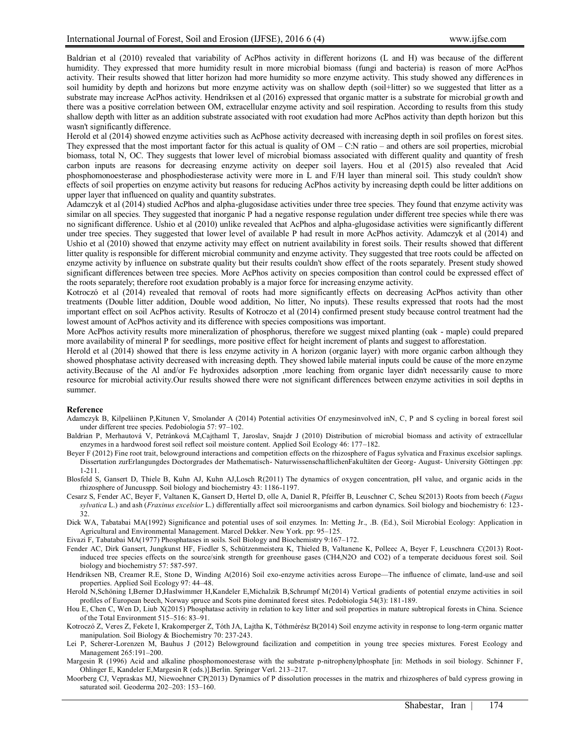Baldrian et al (2010) revealed that variability of AcPhos activity in different horizons (L and H) was because of the different humidity. They expressed that more humidity result in more microbial biomass (fungi and bacteria) is reason of more AcPhos activity. Their results showed that litter horizon had more humidity so more enzyme activity. This study showed any differences in soil humidity by depth and horizons but more enzyme activity was on shallow depth (soil+litter) so we suggested that litter as a substrate may increase AcPhos activity. Hendriksen et al (2016) expressed that organic matter is a substrate for microbial growth and there was a positive correlation between OM, extracellular enzyme activity and soil respiration. According to results from this study shallow depth with litter as an addition substrate associated with root exudation had more AcPhos activity than depth horizon but this wasn't significantly difference.

Herold et al (2014) showed enzyme activities such as AcPhose activity decreased with increasing depth in soil profiles on forest sites. They expressed that the most important factor for this actual is quality of  $OM - C:N$  ratio – and others are soil properties, microbial biomass, total N, OC. They suggests that lower level of microbial biomass associated with different quality and quantity of fresh carbon inputs are reasons for decreasing enzyme activity on deeper soil layers. Hou et al (2015) also revealed that Acid phosphomonoesterase and phosphodiesterase activity were more in L and F/H layer than mineral soil. This study couldn't show effects of soil properties on enzyme activity but reasons for reducing AcPhos activity by increasing depth could be litter additions on upper layer that influenced on quality and quantity substrates.

Adamczyk et al (2014) studied AcPhos and alpha-glugosidase activities under three tree species. They found that enzyme activity was similar on all species. They suggested that inorganic P had a negative response regulation under different tree species while there was no significant difference. Ushio et al (2010) unlike revealed that AcPhos and alpha-glugosidase activities were significantly different under tree species. They suggested that lower level of available P had result in more AcPhos activity. Adamczyk et al (2014) and Ushio et al (2010) showed that enzyme activity may effect on nutrient availability in forest soils. Their results showed that different litter quality is responsible for different microbial community and enzyme activity. They suggested that tree roots could be affected on enzyme activity by influence on substrate quality but their results couldn't show effect of the roots separately. Present study showed significant differences between tree species. More AcPhos activity on species composition than control could be expressed effect of the roots separately; therefore root exudation probably is a major force for increasing enzyme activity.

Kotroczó et al (2014) revealed that removal of roots had more significantly effects on decreasing AcPhos activity than other treatments (Double litter addition, Double wood addition, No litter, No inputs). These results expressed that roots had the most important effect on soil AcPhos activity. Results of Kotroczo et al (2014) confirmed present study because control treatment had the lowest amount of AcPhos activity and its difference with species compositions was important.

More AcPhos activity results more mineralization of phosphorus, therefore we suggest mixed planting (oak - maple) could prepared more availability of mineral P for seedlings, more positive effect for height increment of plants and suggest to afforestation.

Herold et al (2014) showed that there is less enzyme activity in A horizon (organic layer) with more organic carbon although they showed phosphatase activity decreased with increasing depth. They showed labile material inputs could be cause of the more enzyme activity.Because of the Al and/or Fe hydroxides adsorption ,more leaching from organic layer didn't necessarily cause to more resource for microbial activity.Our results showed there were not significant differences between enzyme activities in soil depths in summer.

### **Reference**

- Adamczyk B, Kilpeläinen P,Kitunen V, Smolander A (2014) Potential activities Of enzymesinvolved inN, C, P and S cycling in boreal forest soil under different tree species. Pedobiologia 57: 97–102.
- Baldrian P, Merhautová V, Petránková M,Cajthaml T, Jaroslav, Snajdr J (2010) Distribution of microbial biomass and activity of extracellular enzymes in a hardwood forest soil reflect soil moisture content. Applied Soil Ecology 46: 177–182.
- Beyer F (2012) Fine root trait, belowground interactions and competition effects on the rhizosphere of Fagus sylvatica and Fraxinus excelsior saplings. Dissertation zurErlangungdes Doctorgrades der Mathematisch- NaturwissenschaftlichenFakultäten der Georg- August- University Göttingen .pp: 1-211.
- Blosfeld S, Gansert D, Thiele B, Kuhn AJ, Kuhn AJ,Losch R(2011) The dynamics of oxygen concentration, pH value, and organic acids in the rhizosphere of Juncusspp. Soil biology and biochemistry 43: 1186-1197.
- Cesarz S, Fender AC, Beyer F, Valtanen K, Gansert D, Hertel D, olle A, Daniel R, Pfeiffer B, Leuschner C, Scheu S(2013) Roots from beech (*Fagus sylvatica* L.) and ash (*Fraxinus excelsior* L.) differentially affect soil microorganisms and carbon dynamics. Soil biology and biochemistry 6: 123- 32.
- Dick WA, Tabatabai MA(1992) Significance and potential uses of soil enzymes. In: Metting Jr., .B. (Ed.), Soil Microbial Ecology: Application in Agricultural and Environmental Management. Marcel Dekker. New York. pp: 95–125.
- Eivazi F, Tabatabai MA(1977) Phosphatases in soils. Soil Biology and Biochemistry 9:167–172.
- Fender AC, Dirk Gansert, Jungkunst HF, Fiedler S, Schützenmeistera K, Thieled B, Valtanene K, Polleec A, Beyer F, Leuschnera C(2013) Rootinduced tree species effects on the source/sink strength for greenhouse gases (CH4,N2O and CO2) of a temperate deciduous forest soil. Soil biology and biochemistry 57: 587-597.
- Hendriksen NB, Creamer R.E, Stone D, Winding A(2016) Soil exo-enzyme activities across Europe—The influence of climate, land-use and soil properties. Applied Soil Ecology 97: 44–48.
- Herold N,Schöning I,Berner D,Haslwimmer H,Kandeler E,Michalzik B,Schrumpf M(2014) Vertical gradients of potential enzyme activities in soil profiles of European beech, Norway spruce and Scots pine dominated forest sites. Pedobiologia 54(3): 181-189.
- Hou E, Chen C, Wen D, Liub X(2015) Phosphatase activity in relation to key litter and soil properties in mature subtropical forests in China. Science of the Total Environment 515–516: 83–91.
- Kotroczó Z, Veres Z, Fekete I, Krakomperger Z, Tóth JA, Lajtha K, Tóthmérész B(2014) Soil enzyme activity in response to long-term organic matter manipulation. Soil Biology & Biochemistry 70: 237-243.
- Lei P, Scherer-Lorenzen M, Bauhus J (2012) Belowground facilization and competition in young tree species mixtures. Forest Ecology and Management 265:191–200.
- Margesin R (1996) Acid and alkaline phosphomonoesterase with the substrate p-nitrophenylphosphate [in: Methods in soil biology. Schinner F, Ohlinger E, Kandeler E,Margesin R (eds.)].Berlin. Springer Verl. 213–217.
- Moorberg CJ, Vepraskas MJ, Niewoehner CP(2013) Dynamics of P dissolution processes in the matrix and rhizospheres of bald cypress growing in saturated soil. Geoderma 202–203: 153–160.